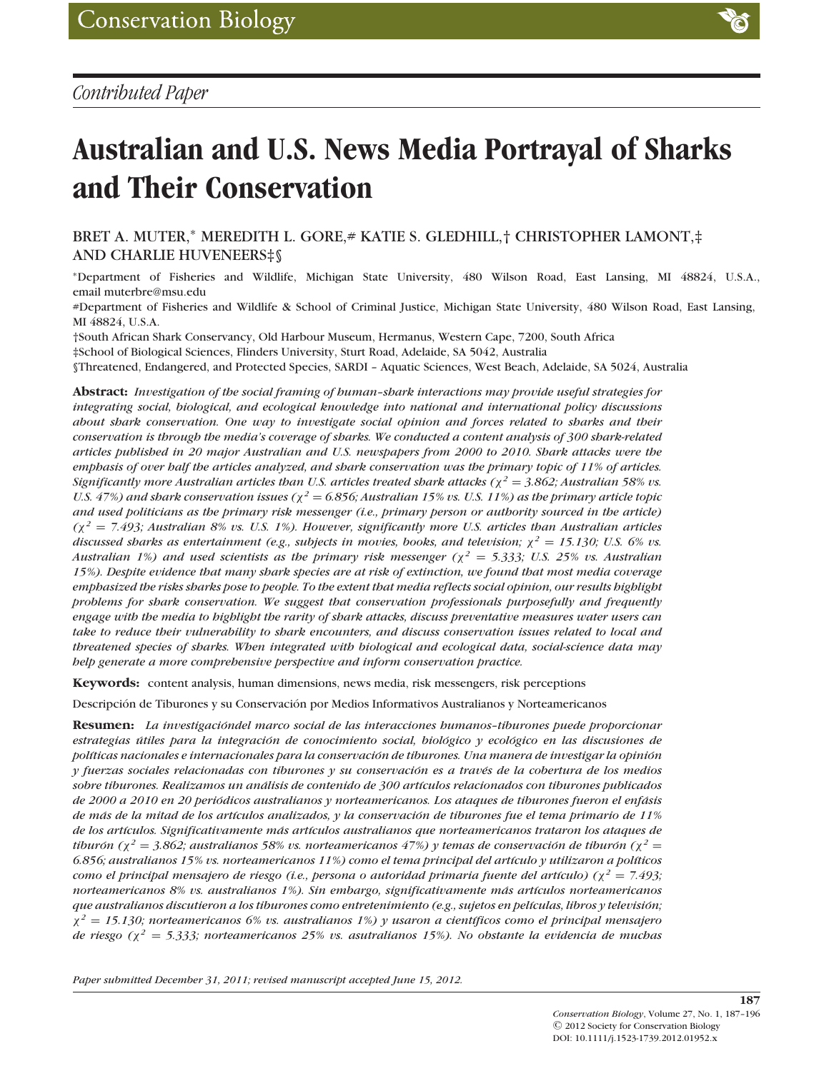# **Australian and U.S. News Media Portrayal of Sharks and Their Conservation**

BRET A. MUTER,<sup>∗</sup> MEREDITH L. GORE,# KATIE S. GLEDHILL,† CHRISTOPHER LAMONT,‡ AND CHARLIE HUVENEERS‡§

<sup>∗</sup>Department of Fisheries and Wildlife, Michigan State University, 480 Wilson Road, East Lansing, MI 48824, U.S.A., email muterbre@msu.edu

#Department of Fisheries and Wildlife & School of Criminal Justice, Michigan State University, 480 Wilson Road, East Lansing, MI 48824, U.S.A.

†South African Shark Conservancy, Old Harbour Museum, Hermanus, Western Cape, 7200, South Africa

‡School of Biological Sciences, Flinders University, Sturt Road, Adelaide, SA 5042, Australia

§Threatened, Endangered, and Protected Species, SARDI – Aquatic Sciences, West Beach, Adelaide, SA 5024, Australia

**Abstract:** *Investigation of the social framing of human–shark interactions may provide useful strategies for integrating social, biological, and ecological knowledge into national and international policy discussions about shark conservation. One way to investigate social opinion and forces related to sharks and their conservation is through the media's coverage of sharks. We conducted a content analysis of 300 shark-related articles published in 20 major Australian and U.S. newspapers from 2000 to 2010. Shark attacks were the emphasis of over half the articles analyzed, and shark conservation was the primary topic of 11% of articles.*  $Significantly\ more\ Australian\ articles\ than\ U.S.\ articles\ treated\ shear\ attacks\ (\chi^2=3.862; Australian\ 58\% \ vs.$ U.S. 47%) and shark conservation issues ( $\chi^2$  = 6.856; Australian 15% vs. U.S. 11%) as the primary article topic *and used politicians as the primary risk messenger (i.e., primary person or authority sourced in the article)*  $(\chi^2 = 7.493$ ; Australian 8% vs. U.S. 1%). However, significantly more U.S. articles than Australian articles discussed sharks as entertainment (e.g., subjects in movies, books, and television;  $\chi^2=15.130$ ; U.S. 6% vs. *Australian 1%) and used scientists as the primary risk messenger (*χ *<sup>2</sup>* = *5.333; U.S. 25% vs. Australian 15%). Despite evidence that many shark species are at risk of extinction, we found that most media coverage emphasized the risks sharks pose to people. To the extent that media reflects social opinion, our results highlight problems for shark conservation. We suggest that conservation professionals purposefully and frequently engage with the media to highlight the rarity of shark attacks, discuss preventative measures water users can take to reduce their vulnerability to shark encounters, and discuss conservation issues related to local and threatened species of sharks. When integrated with biological and ecological data, social-science data may help generate a more comprehensive perspective and inform conservation practice.*

**Keywords:** content analysis, human dimensions, news media, risk messengers, risk perceptions

Descripción de Tiburones y su Conservación por Medios Informativos Australianos y Norteamericanos

**Resumen:** *La investigaciondel marco social de las interacciones humanos–tiburones puede proporcionar ´ estrategias utiles para la integraci ´ on de conocimiento social, biol ´ ogico y ecol ´ ogico en las discusiones de ´ pol´ıticas nacionales e internacionales para la conservacion de tiburones. Una manera de investigar la opini ´ on´ y fuerzas sociales relacionadas con tiburones y su conservacion es a trav ´ ´es de la cobertura de los medios sobre tiburones. Realizamos un analisis de contenido de 300 art ´ ´ıculos relacionados con tiburones publicados de 2000 a 2010 en 20 periódicos australianos y norteamericanos. Los ataques de tiburones fueron el enfásis de mas de la mitad de los art ´ ´ıculos analizados, y la conservacion de tiburones fue el tema primario de 11% ´ de los art´ıculos. Significativamente mas art ´ ´ıculos australianos que norteamericanos trataron los ataques de* tiburón ( $\chi^2 = 3.862$ ; australianos 58% vs. norteamericanos 47%) y temas de conservación de tiburón ( $\chi^2 = 1$ *6.856; australianos 15% vs. norteamericanos 11%) como el tema principal del art´ıculo y utilizaron a pol´ıticos como el principal mensajero de riesgo (i.e., persona o autoridad primaria fuente del art´ıculo) (*χ *<sup>2</sup>* = *7.493; norteamericanos 8% vs. australianos 1%). Sin embargo, significativamente mas art ´ ´ıculos norteamericanos que australianos discutieron a los tiburones como entretenimiento (e.g., sujetos en pel´ıculas, libros y television; ´*  $\chi^2 = 15.130$ ; norteamericanos 6% vs. australianos 1%) y usaron a científicos como el principal mensajero *de riesgo (*χ *<sup>2</sup>* = *5.333; norteamericanos 25% vs. asutralianos 15%). No obstante la evidencia de muchas*

*Paper submitted December 31, 2011; revised manuscript accepted June 15, 2012.*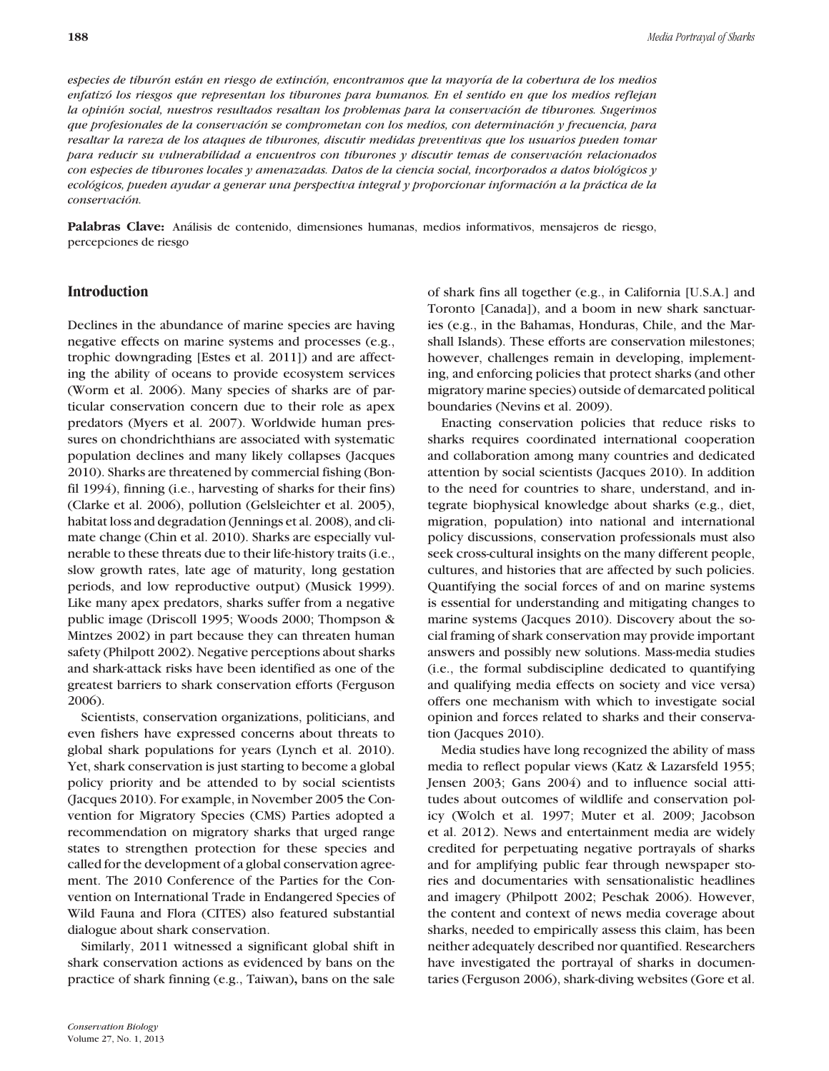*especies de tiburon est ´ an en riesgo de extinci ´ on, encontramos que la mayor ´ ´ıa de la cobertura de los medios enfatizo los riesgos que representan los tiburones para humanos. En el sentido en que los medios reflejan ´ la opinion social, nuestros resultados resaltan los problemas para la conservaci ´ on de tiburones. Sugerimos ´ que profesionales de la conservacion se comprometan con los medios, con determinaci ´ on y frecuencia, para ´ resaltar la rareza de los ataques de tiburones, discutir medidas preventivas que los usuarios pueden tomar para reducir su vulnerabilidad a encuentros con tiburones y discutir temas de conservacion relacionados ´ con especies de tiburones locales y amenazadas. Datos de la ciencia social, incorporados a datos biologicos y ´ ecologicos, pueden ayudar a generar una perspectiva integral y proporcionar informaci ´ on a la pr ´ actica de la ´ conservacion. ´*

**Palabras Clave:** Análisis de contenido, dimensiones humanas, medios informativos, mensajeros de riesgo, percepciones de riesgo

# **Introduction**

Declines in the abundance of marine species are having negative effects on marine systems and processes (e.g., trophic downgrading [Estes et al. 2011]) and are affecting the ability of oceans to provide ecosystem services (Worm et al. 2006). Many species of sharks are of particular conservation concern due to their role as apex predators (Myers et al. 2007). Worldwide human pressures on chondrichthians are associated with systematic population declines and many likely collapses (Jacques 2010). Sharks are threatened by commercial fishing (Bonfil 1994), finning (i.e., harvesting of sharks for their fins) (Clarke et al. 2006), pollution (Gelsleichter et al. 2005), habitat loss and degradation (Jennings et al. 2008), and climate change (Chin et al. 2010). Sharks are especially vulnerable to these threats due to their life-history traits (i.e., slow growth rates, late age of maturity, long gestation periods, and low reproductive output) (Musick 1999). Like many apex predators, sharks suffer from a negative public image (Driscoll 1995; Woods 2000; Thompson & Mintzes 2002) in part because they can threaten human safety (Philpott 2002). Negative perceptions about sharks and shark-attack risks have been identified as one of the greatest barriers to shark conservation efforts (Ferguson 2006).

Scientists, conservation organizations, politicians, and even fishers have expressed concerns about threats to global shark populations for years (Lynch et al. 2010). Yet, shark conservation is just starting to become a global policy priority and be attended to by social scientists (Jacques 2010). For example, in November 2005 the Convention for Migratory Species (CMS) Parties adopted a recommendation on migratory sharks that urged range states to strengthen protection for these species and called for the development of a global conservation agreement. The 2010 Conference of the Parties for the Convention on International Trade in Endangered Species of Wild Fauna and Flora (CITES) also featured substantial dialogue about shark conservation.

Similarly, 2011 witnessed a significant global shift in shark conservation actions as evidenced by bans on the practice of shark finning (e.g., Taiwan)**,** bans on the sale

of shark fins all together (e.g., in California [U.S.A.] and Toronto [Canada]), and a boom in new shark sanctuaries (e.g., in the Bahamas, Honduras, Chile, and the Marshall Islands). These efforts are conservation milestones; however, challenges remain in developing, implementing, and enforcing policies that protect sharks (and other migratory marine species) outside of demarcated political boundaries (Nevins et al. 2009).

Enacting conservation policies that reduce risks to sharks requires coordinated international cooperation and collaboration among many countries and dedicated attention by social scientists (Jacques 2010). In addition to the need for countries to share, understand, and integrate biophysical knowledge about sharks (e.g., diet, migration, population) into national and international policy discussions, conservation professionals must also seek cross-cultural insights on the many different people, cultures, and histories that are affected by such policies. Quantifying the social forces of and on marine systems is essential for understanding and mitigating changes to marine systems (Jacques 2010). Discovery about the social framing of shark conservation may provide important answers and possibly new solutions. Mass-media studies (i.e., the formal subdiscipline dedicated to quantifying and qualifying media effects on society and vice versa) offers one mechanism with which to investigate social opinion and forces related to sharks and their conservation (Jacques 2010).

Media studies have long recognized the ability of mass media to reflect popular views (Katz & Lazarsfeld 1955; Jensen 2003; Gans 2004) and to influence social attitudes about outcomes of wildlife and conservation policy (Wolch et al. 1997; Muter et al. 2009; Jacobson et al. 2012). News and entertainment media are widely credited for perpetuating negative portrayals of sharks and for amplifying public fear through newspaper stories and documentaries with sensationalistic headlines and imagery (Philpott 2002; Peschak 2006). However, the content and context of news media coverage about sharks, needed to empirically assess this claim, has been neither adequately described nor quantified. Researchers have investigated the portrayal of sharks in documentaries (Ferguson 2006), shark-diving websites (Gore et al.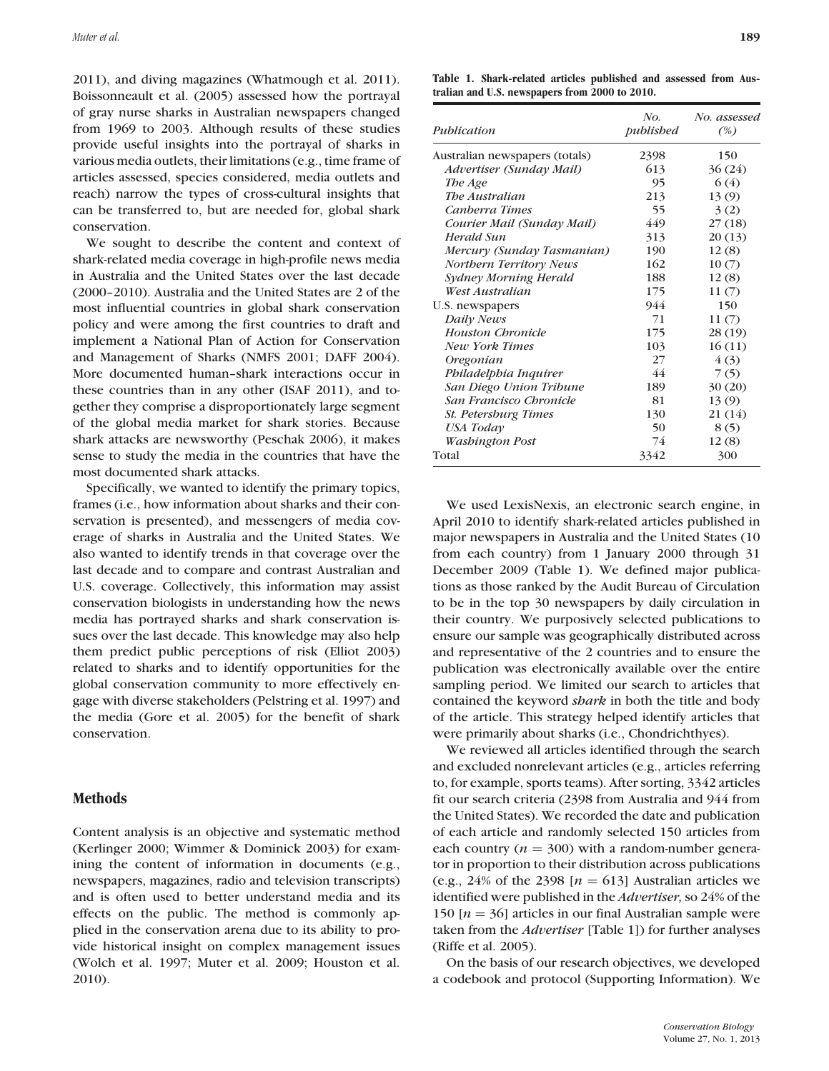2011), and diving magazines (Whatmough et al. 2011). Boissonneault et al. (2005) assessed how the portrayal of gray nurse sharks in Australian newspapers changed from 1969 to 2003. Although results of these studies provide useful insights into the portrayal of sharks in various media outlets, their limitations (e.g., time frame of articles assessed, species considered, media outlets and reach) narrow the types of cross-cultural insights that can be transferred to, but are needed for, global shark conservation.

We sought to describe the content and context of shark-related media coverage in high-profile news media in Australia and the United States over the last decade (2000–2010). Australia and the United States are 2 of the most influential countries in global shark conservation policy and were among the first countries to draft and implement a National Plan of Action for Conservation and Management of Sharks (NMFS 2001; DAFF 2004). More documented human–shark interactions occur in these countries than in any other (ISAF 2011), and together they comprise a disproportionately large segment of the global media market for shark stories. Because shark attacks are newsworthy (Peschak 2006), it makes sense to study the media in the countries that have the most documented shark attacks.

Specifically, we wanted to identify the primary topics, frames (i.e., how information about sharks and their conservation is presented), and messengers of media coverage of sharks in Australia and the United States. We also wanted to identify trends in that coverage over the last decade and to compare and contrast Australian and U.S. coverage. Collectively, this information may assist conservation biologists in understanding how the news media has portrayed sharks and shark conservation issues over the last decade. This knowledge may also help them predict public perceptions of risk (Elliot 2003) related to sharks and to identify opportunities for the global conservation community to more effectively engage with diverse stakeholders (Pelstring et al. 1997) and the media (Gore et al. 2005) for the benefit of shark conservation.

## **Methods**

Content analysis is an objective and systematic method (Kerlinger 2000; Wimmer & Dominick 2003) for examining the content of information in documents (e.g., newspapers, magazines, radio and television transcripts) and is often used to better understand media and its effects on the public. The method is commonly applied in the conservation arena due to its ability to provide historical insight on complex management issues (Wolch et al. 1997; Muter et al. 2009; Houston et al. 2010).

**Table 1. Shark-related articles published and assessed from Australian and U.S. newspapers from 2000 to 2010.**

| Publication                    | No.<br>published | No. assessed<br>(%) |
|--------------------------------|------------------|---------------------|
| Australian newspapers (totals) | 2398             | 150                 |
| Advertiser (Sunday Mail)       | 613              | 36(24)              |
| The Age                        | 95               | 6(4)                |
| The Australian                 | 213              | 13(9)               |
| Canberra Times                 | 55               | 3(2)                |
| Courier Mail (Sunday Mail)     | 449              | 27(18)              |
| Herald Sun                     | 313              | 20 (13)             |
| Mercury (Sunday Tasmanian)     | 190              | 12(8)               |
| <b>Northern Territory News</b> | 162              | 10(7)               |
| Sydney Morning Herald          | 188              | 12(8)               |
| West Australian                | 175              | 11(7)               |
| U.S. newspapers                | 944              | 150                 |
| Daily News                     | 71               | 11(7)               |
| <b>Houston Chronicle</b>       | 175              | 28 (19)             |
| <b>New York Times</b>          | 103              | 16(11)              |
| Oregonian                      | 27               | 4(3)                |
| Philadelphia Inquirer          | 44               | 7(5)                |
| San Diego Union Tribune        | 189              | 30(20)              |
| San Francisco Chronicle        | 81               | 13(9)               |
| <b>St. Petersburg Times</b>    | 130              | 21 (14)             |
| USA Today                      | 50               | 8(5)                |
| <b>Washington Post</b>         | 74               | 12(8)               |
| Total                          | 3342             | 300                 |
|                                |                  |                     |

We used LexisNexis, an electronic search engine, in April 2010 to identify shark-related articles published in major newspapers in Australia and the United States (10 from each country) from 1 January 2000 through 31 December 2009 (Table 1). We defined major publications as those ranked by the Audit Bureau of Circulation to be in the top 30 newspapers by daily circulation in their country. We purposively selected publications to ensure our sample was geographically distributed across and representative of the 2 countries and to ensure the publication was electronically available over the entire sampling period. We limited our search to articles that contained the keyword *shark* in both the title and body of the article. This strategy helped identify articles that were primarily about sharks (i.e., Chondrichthyes).

We reviewed all articles identified through the search and excluded nonrelevant articles (e.g., articles referring to, for example, sports teams). After sorting, 3342 articles fit our search criteria (2398 from Australia and 944 from the United States). We recorded the date and publication of each article and randomly selected 150 articles from each country  $(n = 300)$  with a random-number generator in proportion to their distribution across publications (e.g., 24% of the 2398  $[n = 613]$  Australian articles we identified were published in the *Advertiser,* so 24% of the 150  $[n = 36]$  articles in our final Australian sample were taken from the *Advertiser* [Table 1]) for further analyses (Riffe et al. 2005).

On the basis of our research objectives, we developed a codebook and protocol (Supporting Information). We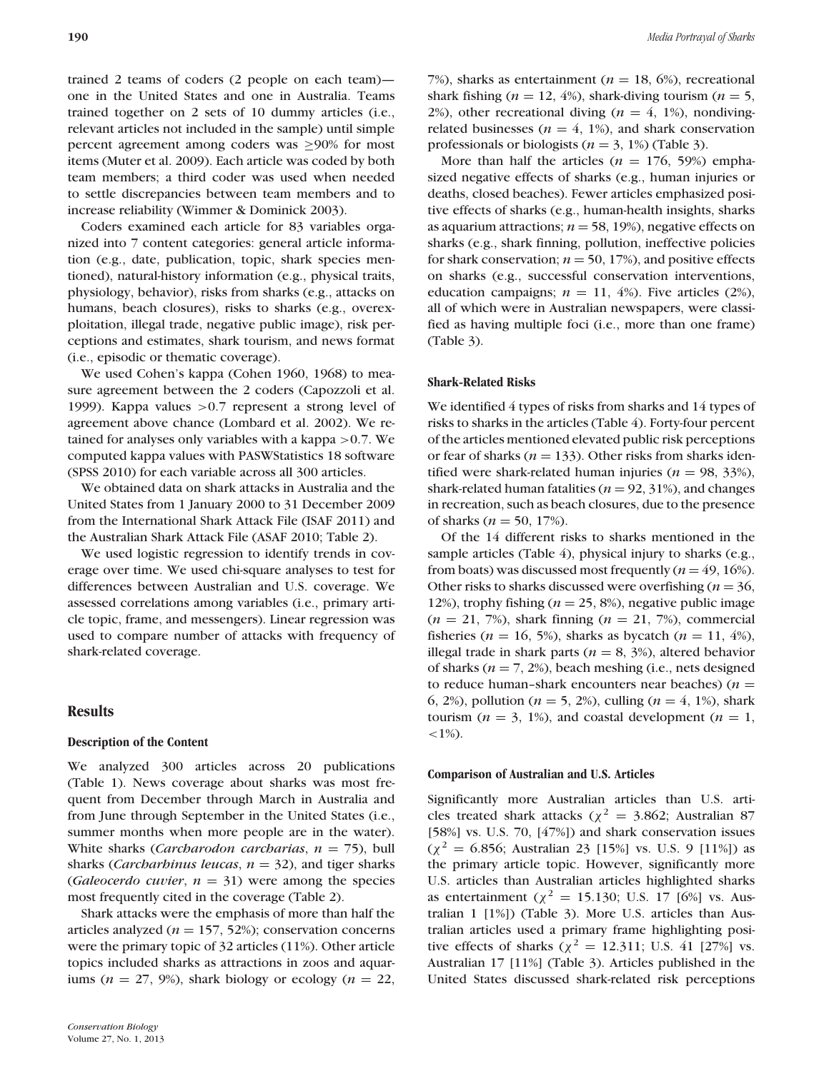trained 2 teams of coders (2 people on each team) one in the United States and one in Australia. Teams trained together on 2 sets of 10 dummy articles (i.e., relevant articles not included in the sample) until simple percent agreement among coders was  $\geq$ 90% for most items (Muter et al. 2009). Each article was coded by both team members; a third coder was used when needed to settle discrepancies between team members and to increase reliability (Wimmer & Dominick 2003).

Coders examined each article for 83 variables organized into 7 content categories: general article information (e.g., date, publication, topic, shark species mentioned), natural-history information (e.g., physical traits, physiology, behavior), risks from sharks (e.g., attacks on humans, beach closures), risks to sharks (e.g., overexploitation, illegal trade, negative public image), risk perceptions and estimates, shark tourism, and news format (i.e., episodic or thematic coverage).

We used Cohen's kappa (Cohen 1960, 1968) to measure agreement between the 2 coders (Capozzoli et al. 1999). Kappa values >0.7 represent a strong level of agreement above chance (Lombard et al. 2002). We retained for analyses only variables with a kappa >0.7. We computed kappa values with PASWStatistics 18 software (SPSS 2010) for each variable across all 300 articles.

We obtained data on shark attacks in Australia and the United States from 1 January 2000 to 31 December 2009 from the International Shark Attack File (ISAF 2011) and the Australian Shark Attack File (ASAF 2010; Table 2).

We used logistic regression to identify trends in coverage over time. We used chi-square analyses to test for differences between Australian and U.S. coverage. We assessed correlations among variables (i.e., primary article topic, frame, and messengers). Linear regression was used to compare number of attacks with frequency of shark-related coverage.

# **Results**

#### **Description of the Content**

We analyzed 300 articles across 20 publications (Table 1). News coverage about sharks was most frequent from December through March in Australia and from June through September in the United States (i.e., summer months when more people are in the water). White sharks (*Carcharodon carcharias*, *n* = 75), bull sharks (*Carcharhinus leucas*,  $n = 32$ ), and tiger sharks (*Galeocerdo cuvier*,  $n = 31$ ) were among the species most frequently cited in the coverage (Table 2).

Shark attacks were the emphasis of more than half the articles analyzed ( $n = 157, 52\%$ ); conservation concerns were the primary topic of 32 articles (11%). Other article topics included sharks as attractions in zoos and aquariums ( $n = 27$ , 9%), shark biology or ecology ( $n = 22$ , 7%), sharks as entertainment ( $n = 18, 6\%$ ), recreational shark fishing ( $n = 12, 4\%$ ), shark-diving tourism ( $n = 5$ , 2%), other recreational diving  $(n = 4, 1\%)$ , nondivingrelated businesses ( $n = 4$ , 1%), and shark conservation professionals or biologists ( $n = 3, 1\%$ ) (Table 3).

More than half the articles  $(n = 176, 59%)$  emphasized negative effects of sharks (e.g., human injuries or deaths, closed beaches). Fewer articles emphasized positive effects of sharks (e.g., human-health insights, sharks as aquarium attractions;  $n = 58$ , 19%), negative effects on sharks (e.g., shark finning, pollution, ineffective policies for shark conservation;  $n = 50$ , 17%), and positive effects on sharks (e.g., successful conservation interventions, education campaigns;  $n = 11, 4%$ ). Five articles (2%), all of which were in Australian newspapers, were classified as having multiple foci (i.e., more than one frame) (Table 3).

## **Shark-Related Risks**

We identified 4 types of risks from sharks and 14 types of risks to sharks in the articles (Table 4). Forty-four percent of the articles mentioned elevated public risk perceptions or fear of sharks ( $n = 133$ ). Other risks from sharks identified were shark-related human injuries ( $n = 98, 33\%$ ), shark-related human fatalities ( $n = 92, 31\%$ ), and changes in recreation, such as beach closures, due to the presence of sharks ( $n = 50, 17\%$ ).

Of the 14 different risks to sharks mentioned in the sample articles (Table 4), physical injury to sharks (e.g., from boats) was discussed most frequently  $(n = 49, 16\%)$ . Other risks to sharks discussed were overfishing (*n* = 36, 12%), trophy fishing ( $n = 25, 8\%$ ), negative public image (*n* = 21, 7%), shark finning (*n* = 21, 7%), commercial fisheries ( $n = 16, 5\%$ ), sharks as bycatch ( $n = 11, 4\%$ ), illegal trade in shark parts ( $n = 8, 3\%$ ), altered behavior of sharks (*n* = 7, 2%), beach meshing (i.e., nets designed to reduce human-shark encounters near beaches)  $(n =$ 6, 2%), pollution ( $n = 5$ , 2%), culling ( $n = 4$ , 1%), shark tourism ( $n = 3$ , 1%), and coastal development ( $n = 1$ ,  $<1\%$ ).

#### **Comparison of Australian and U.S. Articles**

Significantly more Australian articles than U.S. articles treated shark attacks ( $\chi^2 = 3.862$ ; Australian 87 [58%] vs. U.S. 70, [47%]) and shark conservation issues  $(\chi^2 = 6.856;$  Australian 23 [15%] vs. U.S. 9 [11%]) as the primary article topic. However, significantly more U.S. articles than Australian articles highlighted sharks as entertainment ( $\chi^2 = 15.130$ ; U.S. 17 [6%] vs. Australian 1 [1%]) (Table 3). More U.S. articles than Australian articles used a primary frame highlighting positive effects of sharks ( $\chi^2 = 12.311$ ; U.S. 41 [27%] vs. Australian 17 [11%] (Table 3). Articles published in the United States discussed shark-related risk perceptions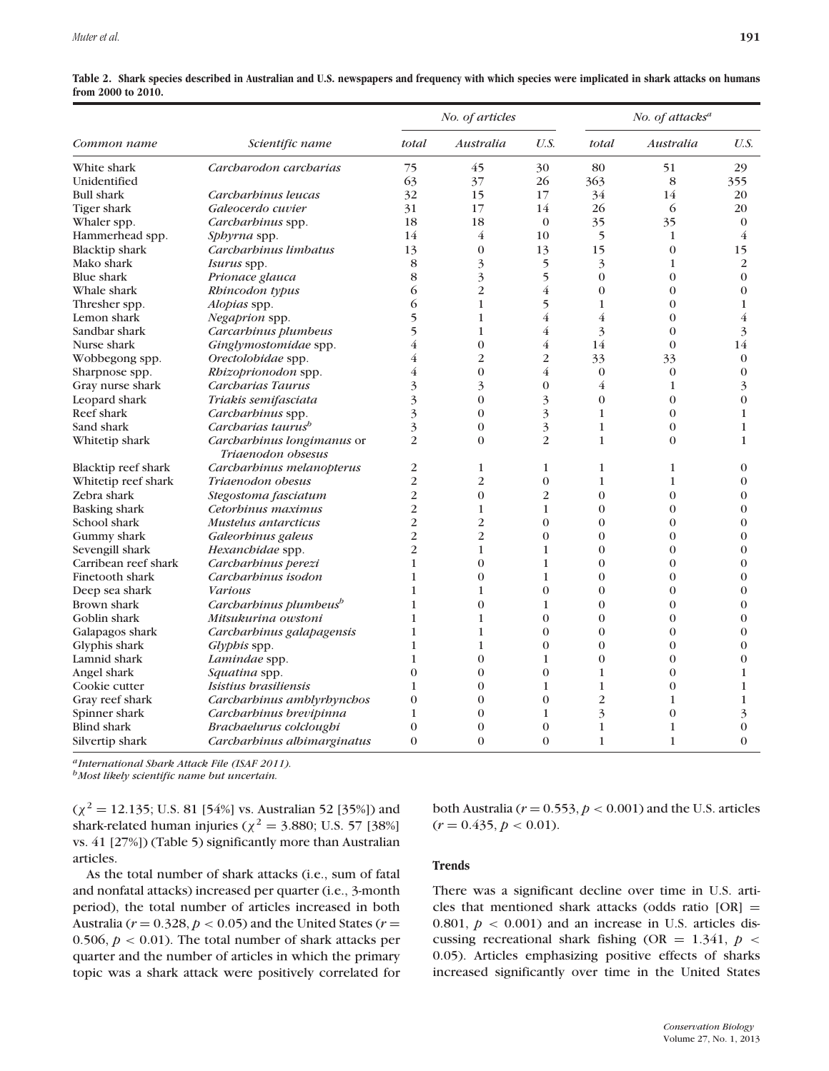|                            |                                                  | No. of articles |                |                | No. of attacks <sup>a</sup> |                  |                  |
|----------------------------|--------------------------------------------------|-----------------|----------------|----------------|-----------------------------|------------------|------------------|
| Common name                | Scientific name                                  | total           | Australia      | U.S.           | total                       | Australia        | U.S.             |
| White shark                | Carcharodon carcharias                           | 75              | 45             | 30             | 80                          | 51               | 29               |
| Unidentified               |                                                  | 63              | 37             | 26             | 363                         | 8                | 355              |
| <b>Bull shark</b>          | Carcharhinus leucas                              | 32              | 15             | 17             | 34                          | 14               | 20               |
| Tiger shark                | Galeocerdo cuvier                                | 31              | 17             | 14             | 26                          | 6                | 20               |
| Whaler spp.                | Carcharhinus spp.                                | 18              | 18             | $\mathbf{0}$   | 35                          | 35               | $\mathbf{0}$     |
| Hammerhead spp.            | <i>Sphyrna</i> spp.                              | 14              | 4              | 10             | 5                           | 1                | 4                |
| Blacktip shark             | Carcharhinus limbatus                            | 13              | $\mathbf{0}$   | 13             | 15                          | $\mathbf{0}$     | 15               |
| Mako shark                 | <i>Isurus</i> spp.                               | 8               | 3              | 5              | 3                           | 1                | $\overline{2}$   |
| Blue shark                 | Prionace glauca                                  | 8               | 3              | 5              | $\mathbf{0}$                | $\mathbf{0}$     | $\mathbf{0}$     |
| Whale shark                | Rhincodon typus                                  | 6               | 2              | 4              | $\boldsymbol{0}$            | $\boldsymbol{0}$ | $\boldsymbol{0}$ |
| Thresher spp.              | Alopias spp.                                     | 6               | $\mathbf{1}$   | 5              | $\mathbf{1}$                | $\mathbf{0}$     | $\mathbf{1}$     |
| Lemon shark                | <i>Negaprion</i> spp.                            | 5               | $\mathbf{1}$   | $\overline{4}$ | $\overline{4}$              | $\mathbf{0}$     | 4                |
| Sandbar shark              | Carcarbinus plumbeus                             | 5               | $\mathbf{1}$   | 4              | 3                           | $\Omega$         | 3                |
| Nurse shark                | Ginglymostomidae spp.                            | $\overline{4}$  | $\mathbf{0}$   | $\overline{4}$ | 14                          | $\mathbf{0}$     | 14               |
| Wobbegong spp.             | Orectolobidae spp.                               | 4               | $\overline{2}$ | $\overline{2}$ | 33                          | 33               | $\mathbf{0}$     |
| Sharpnose spp.             | Rhizoprionodon spp.                              | 4               | $\mathbf{0}$   | 4              | $\mathbf{0}$                | $\mathbf{0}$     | $\boldsymbol{0}$ |
| Gray nurse shark           | Carcharias Taurus                                | 3               | 3              | $\mathbf{0}$   | $\overline{4}$              | 1                | 3                |
| Leopard shark              | Triakis semifasciata                             | 3               | $\Omega$       | 3              | $\overline{0}$              | $\mathbf{0}$     | $\overline{0}$   |
| Reef shark                 | Carcharhinus spp.                                | 3               | $\mathbf{0}$   | 3              | $\mathbf{1}$                | $\mathbf{0}$     | $\mathbf{1}$     |
| Sand shark                 | Carcharias taurus <sup>b</sup>                   | 3               | $\mathbf{0}$   | 3              | $\mathbf{1}$                | $\mathbf{0}$     | 1                |
| Whitetip shark             | Carcharhinus longimanus or<br>Triaenodon obsesus | $\overline{2}$  | $\Omega$       | $\overline{2}$ | $\mathbf{1}$                | $\Omega$         | $\mathbf{1}$     |
| <b>Blacktip reef shark</b> | Carcharhinus melanopterus                        | 2               | $\mathbf{1}$   | $\mathbf{1}$   | $\mathbf{1}$                | 1                | $\Omega$         |
| Whitetip reef shark        | Triaenodon obesus                                | $\overline{2}$  | $\overline{2}$ | $\mathbf{0}$   | $\mathbf{1}$                | 1                | $\mathbf{0}$     |
| Zebra shark                | Stegostoma fasciatum                             | $\overline{2}$  | $\mathbf{0}$   | $\overline{2}$ | $\overline{0}$              | $\mathbf{0}$     | $\mathbf{0}$     |
| <b>Basking shark</b>       | Cetorbinus maximus                               | $\overline{2}$  | $\mathbf{1}$   | $\mathbf{1}$   | $\mathbf{0}$                | $\mathbf{0}$     | $\mathbf{0}$     |
| School shark               | Mustelus antarcticus                             | $\overline{2}$  | $\overline{2}$ | $\Omega$       | $\overline{0}$              | $\mathbf{0}$     | $\overline{0}$   |
| Gummy shark                | Galeorbinus galeus                               | $\overline{c}$  | 2              | $\mathbf{0}$   | $\mathbf{0}$                | $\mathbf{0}$     | $\mathbf{0}$     |
| Sevengill shark            | Hexanchidae spp.                                 | $\overline{2}$  | $\mathbf{1}$   | $\mathbf{1}$   | $\mathbf{0}$                | $\mathbf{0}$     | $\Omega$         |
| Carribean reef shark       | Carcharhinus perezi                              | 1               | $\overline{0}$ | $\mathbf 1$    | $\overline{0}$              | $\mathbf{0}$     | $\mathbf{0}$     |
| Finetooth shark            | Carcharhinus isodon                              | 1               | $\mathbf{0}$   | $\mathbf 1$    | $\mathbf{0}$                | $\mathbf{0}$     | $\mathbf{0}$     |
| Deep sea shark             | Various                                          | 1               | $\mathbf{1}$   | $\mathbf{0}$   | $\mathbf{0}$                | $\mathbf{0}$     | $\mathbf{0}$     |
| Brown shark                | Carcharhinus plumbeus <sup>b</sup>               | 1               | $\mathbf{0}$   | $\mathbf{1}$   | $\mathbf{0}$                | $\mathbf{0}$     | $\overline{0}$   |
| Goblin shark               | Mitsukurina owstoni                              | 1               | $\mathbf{1}$   | $\mathbf{0}$   | $\boldsymbol{0}$            | $\mathbf{0}$     | $\mathbf{0}$     |
| Galapagos shark            | Carcharhinus galapagensis                        | 1               | 1              | $\Omega$       | $\overline{0}$              | $\mathbf{0}$     | $\Omega$         |
| Glyphis shark              | <i>Glyphis</i> spp.                              | 1               | $\mathbf{1}$   | $\mathbf{0}$   | $\mathbf{0}$                | $\boldsymbol{0}$ | $\boldsymbol{0}$ |
| Lamnid shark               | Lamindae spp.                                    | 1               | $\Omega$       | $\mathbf{1}$   | $\overline{0}$              | $\mathbf{0}$     | $\overline{0}$   |
| Angel shark                | Squatina spp.                                    | $\overline{0}$  | $\mathbf{0}$   | $\mathbf{0}$   | $\mathbf{1}$                | $\mathbf{0}$     | $\mathbf{1}$     |
| Cookie cutter              | Isistius brasiliensis                            | 1               | $\mathbf{0}$   | $\mathbf{1}$   | $\mathbf{1}$                | $\mathbf{0}$     | $\mathbf{1}$     |
| Gray reef shark            | Carcharhinus amblyrhynchos                       | $\overline{0}$  | $\mathbf{0}$   | $\mathbf{0}$   | $\overline{2}$              | 1                | $\mathbf{1}$     |
| Spinner shark              | Carcharhinus brevipinna                          | 1               | $\overline{0}$ | $\mathbf{1}$   | 3                           | $\mathbf{0}$     | 3                |
| <b>Blind shark</b>         | Brachaelurus colcloughi                          | $\overline{0}$  | $\mathbf{0}$   | $\overline{0}$ | $\mathbf{1}$                | 1                | $\mathbf{0}$     |
| Silvertip shark            | Carcharhinus albimarginatus                      | $\theta$        | $\Omega$       | $\Omega$       | $\mathbf{1}$                | 1                | $\Omega$         |

#### **Table 2. Shark species described in Australian and U.S. newspapers and frequency with which species were implicated in shark attacks on humans from 2000 to 2010.**

*a International Shark Attack File (ISAF 2011).*

*<sup>b</sup>Most likely scientific name but uncertain.*

 $(\chi^2 = 12.135; U.S. 81 [54\%] \text{ vs. Australian 52 [35\%]) and}$ shark-related human injuries ( $\chi^2 = 3.880$ ; U.S. 57 [38%] vs. 41 [27%]) (Table 5) significantly more than Australian articles.

As the total number of shark attacks (i.e., sum of fatal and nonfatal attacks) increased per quarter (i.e., 3-month period), the total number of articles increased in both Australia ( $r = 0.328$ ,  $p < 0.05$ ) and the United States ( $r =$ 0.506,  $p < 0.01$ ). The total number of shark attacks per quarter and the number of articles in which the primary topic was a shark attack were positively correlated for both Australia ( $r = 0.553$ ,  $p < 0.001$ ) and the U.S. articles  $(r = 0.435, p < 0.01).$ 

## **Trends**

There was a significant decline over time in U.S. articles that mentioned shark attacks (odds ratio  $[OR] =$ 0.801,  $p < 0.001$ ) and an increase in U.S. articles discussing recreational shark fishing (OR =  $1.341, p <$ 0.05). Articles emphasizing positive effects of sharks increased significantly over time in the United States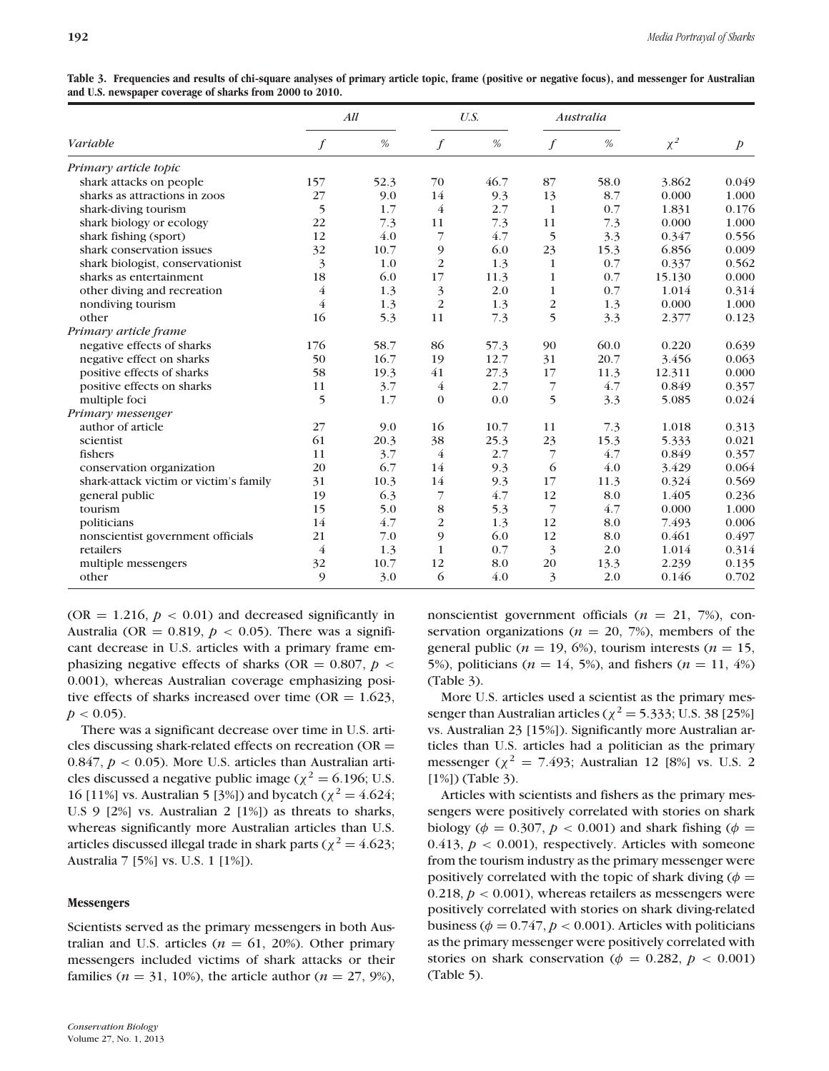|                                        | All            |      | U.S.             |      | Australia    |      |          |               |
|----------------------------------------|----------------|------|------------------|------|--------------|------|----------|---------------|
| Variable                               | $\mathcal{f}$  | %    | $\int$           | %    | $\int$       | %    | $\chi^2$ | $\mathcal{P}$ |
| Primary article topic                  |                |      |                  |      |              |      |          |               |
| shark attacks on people                | 157            | 52.3 | 70               | 46.7 | 87           | 58.0 | 3.862    | 0.049         |
| sharks as attractions in zoos          | 27             | 9.0  | 14               | 9.3  | 13           | 8.7  | 0.000    | 1.000         |
| shark-diving tourism                   | 5              | 1.7  | $\overline{4}$   | 2.7  | $\mathbf{1}$ | 0.7  | 1.831    | 0.176         |
| shark biology or ecology               | 22             | 7.3  | 11               | 7.3  | 11           | 7.3  | 0.000    | 1.000         |
| shark fishing (sport)                  | 12             | 4.0  | $\overline{7}$   | 4.7  | 5            | 3.3  | 0.347    | 0.556         |
| shark conservation issues              | 32             | 10.7 | $\mathfrak{g}$   | 6.0  | 23           | 15.3 | 6.856    | 0.009         |
| shark biologist, conservationist       | 3              | 1.0  | $\overline{2}$   | 1.3  | 1            | 0.7  | 0.337    | 0.562         |
| sharks as entertainment                | 18             | 6.0  | 17               | 11.3 | $\mathbf{1}$ | 0.7  | 15.130   | 0.000         |
| other diving and recreation            | 4              | 1.3  | 3                | 2.0  | $\mathbf{1}$ | 0.7  | 1.014    | 0.314         |
| nondiving tourism                      | $\overline{4}$ | 1.3  | $\overline{2}$   | 1.3  | 2            | 1.3  | 0.000    | 1.000         |
| other                                  | 16             | 5.3  | 11               | 7.3  | 5            | 3.3  | 2.377    | 0.123         |
| Primary article frame                  |                |      |                  |      |              |      |          |               |
| negative effects of sharks             | 176            | 58.7 | 86               | 57.3 | 90           | 60.0 | 0.220    | 0.639         |
| negative effect on sharks              | 50             | 16.7 | 19               | 12.7 | 31           | 20.7 | 3.456    | 0.063         |
| positive effects of sharks             | 58             | 19.3 | 41               | 27.3 | 17           | 11.3 | 12.311   | 0.000         |
| positive effects on sharks             | 11             | 3.7  | $\overline{4}$   | 2.7  | 7            | 4.7  | 0.849    | 0.357         |
| multiple foci                          | 5              | 1.7  | $\boldsymbol{0}$ | 0.0  | 5            | 3.3  | 5.085    | 0.024         |
| Primary messenger                      |                |      |                  |      |              |      |          |               |
| author of article                      | 27             | 9.0  | 16               | 10.7 | 11           | 7.3  | 1.018    | 0.313         |
| scientist                              | 61             | 20.3 | 38               | 25.3 | 23           | 15.3 | 5.333    | 0.021         |
| fishers                                | 11             | 3.7  | $\overline{4}$   | 2.7  | 7            | 4.7  | 0.849    | 0.357         |
| conservation organization              | 20             | 6.7  | 14               | 9.3  | 6            | 4.0  | 3.429    | 0.064         |
| shark-attack victim or victim's family | 31             | 10.3 | 14               | 9.3  | 17           | 11.3 | 0.324    | 0.569         |
| general public                         | 19             | 6.3  | 7                | 4.7  | 12           | 8.0  | 1.405    | 0.236         |
| tourism                                | 15             | 5.0  | 8                | 5.3  | 7            | 4.7  | 0.000    | 1.000         |
| politicians                            | 14             | 4.7  | $\overline{2}$   | 1.3  | 12           | 8.0  | 7.493    | 0.006         |
| nonscientist government officials      | 21             | 7.0  | 9                | 6.0  | 12           | 8.0  | 0.461    | 0.497         |
| retailers                              | $\overline{4}$ | 1.3  | $\mathbf{1}$     | 0.7  | 3            | 2.0  | 1.014    | 0.314         |
| multiple messengers                    | 32             | 10.7 | 12               | 8.0  | 20           | 13.3 | 2.239    | 0.135         |
| other                                  | 9              | 3.0  | 6                | 4.0  | 3            | 2.0  | 0.146    | 0.702         |

**Table 3. Frequencies and results of chi-square analyses of primary article topic, frame (positive or negative focus), and messenger for Australian and U.S. newspaper coverage of sharks from 2000 to 2010.**

( $OR = 1.216$ ,  $p < 0.01$ ) and decreased significantly in Australia (OR =  $0.819$ ,  $p < 0.05$ ). There was a significant decrease in U.S. articles with a primary frame emphasizing negative effects of sharks (OR =  $0.807, p <$ 0.001), whereas Australian coverage emphasizing positive effects of sharks increased over time ( $OR = 1.623$ ,  $p < 0.05$ ).

There was a significant decrease over time in U.S. articles discussing shark-related effects on recreation  $(OR =$ 0.847,  $p < 0.05$ ). More U.S. articles than Australian articles discussed a negative public image ( $\chi^2 = 6.196$ ; U.S. 16 [11%] vs. Australian 5 [3%]) and bycatch ( $\chi^2 = 4.624$ ; U.S 9 [2%] vs. Australian 2 [1%]) as threats to sharks, whereas significantly more Australian articles than U.S. articles discussed illegal trade in shark parts ( $\chi^2 = 4.623$ ; Australia 7 [5%] vs. U.S. 1 [1%]).

#### **Messengers**

Scientists served as the primary messengers in both Australian and U.S. articles ( $n = 61$ , 20%). Other primary messengers included victims of shark attacks or their families ( $n = 31, 10\%$ ), the article author ( $n = 27, 9\%$ ),

nonscientist government officials (*n* = 21, 7%), conservation organizations ( $n = 20, 7\%)$ , members of the general public ( $n = 19, 6\%$ ), tourism interests ( $n = 15$ , 5%), politicians ( $n = 14, 5\%$ ), and fishers ( $n = 11, 4\%$ ) (Table 3).

More U.S. articles used a scientist as the primary messenger than Australian articles ( $\chi^2$  = 5.333; U.S. 38 [25%] vs. Australian 23 [15%]). Significantly more Australian articles than U.S. articles had a politician as the primary messenger ( $\chi^2 = 7.493$ ; Australian 12 [8%] vs. U.S. 2 [1%]) (Table 3).

Articles with scientists and fishers as the primary messengers were positively correlated with stories on shark biology ( $\phi = 0.307$ ,  $p < 0.001$ ) and shark fishing ( $\phi =$ 0.413,  $p < 0.001$ ), respectively. Articles with someone from the tourism industry as the primary messenger were positively correlated with the topic of shark diving ( $\phi =$ 0.218,  $p < 0.001$ ), whereas retailers as messengers were positively correlated with stories on shark diving-related business ( $\phi = 0.747$ ,  $p < 0.001$ ). Articles with politicians as the primary messenger were positively correlated with stories on shark conservation ( $\phi = 0.282$ ,  $p < 0.001$ ) (Table 5).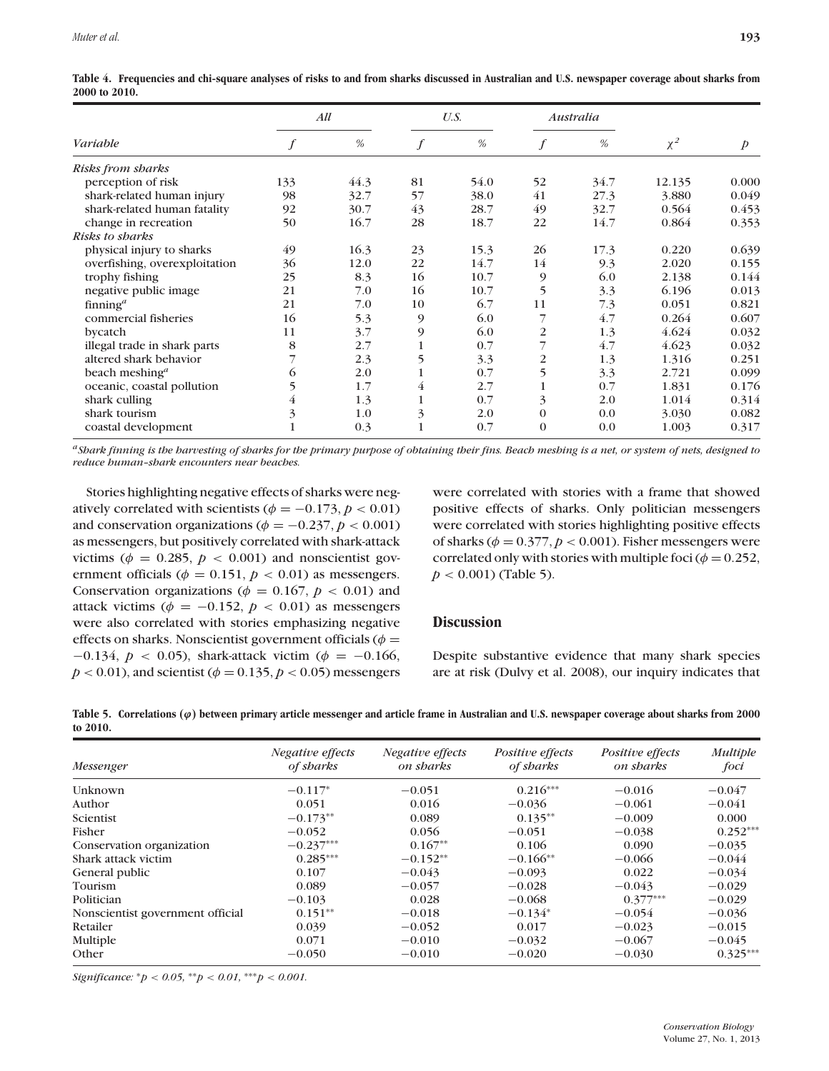|                                         | All            |      | U.S.             |      | Australia      |      |          |               |
|-----------------------------------------|----------------|------|------------------|------|----------------|------|----------|---------------|
| Variable                                |                | %    | $\boldsymbol{f}$ | %    |                | %    | $\chi^2$ | $\mathcal{P}$ |
| Risks from sharks                       |                |      |                  |      |                |      |          |               |
| perception of risk                      | 133            | 44.3 | 81               | 54.0 | 52             | 34.7 | 12.135   | 0.000         |
| shark-related human injury              | 98             | 32.7 | 57               | 38.0 | 41             | 27.3 | 3.880    | 0.049         |
| shark-related human fatality            | 92             | 30.7 | 43               | 28.7 | 49             | 32.7 | 0.564    | 0.453         |
| change in recreation                    | 50             | 16.7 | 28               | 18.7 | 22             | 14.7 | 0.864    | 0.353         |
| Risks to sharks                         |                |      |                  |      |                |      |          |               |
| physical injury to sharks               | 49             | 16.3 | 23               | 15.3 | 26             | 17.3 | 0.220    | 0.639         |
| overfishing, overexploitation           | 36             | 12.0 | 22               | 14.7 | 14             | 9.3  | 2.020    | 0.155         |
| trophy fishing                          | 25             | 8.3  | 16               | 10.7 | 9              | 6.0  | 2.138    | 0.144         |
| negative public image                   | 21             | 7.0  | 16               | 10.7 | 5              | 3.3  | 6.196    | 0.013         |
| finning <sup><i>a</i></sup>             | 21             | 7.0  | 10               | 6.7  | 11             | 7.3  | 0.051    | 0.821         |
| commercial fisheries                    | 16             | 5.3  | 9                | 6.0  |                | 4.7  | 0.264    | 0.607         |
| bycatch                                 | 11             | 3.7  | 9                | 6.0  | $\overline{2}$ | 1.3  | 4.624    | 0.032         |
| illegal trade in shark parts            | 8              | 2.7  | 1                | 0.7  |                | 4.7  | 4.623    | 0.032         |
| altered shark behavior                  |                | 2.3  | 5                | 3.3  | $\overline{2}$ | 1.3  | 1.316    | 0.251         |
| beach meshing <sup><math>a</math></sup> | 6              | 2.0  |                  | 0.7  | 5              | 3.3  | 2.721    | 0.099         |
| oceanic, coastal pollution              | 5              | 1.7  | 4                | 2.7  |                | 0.7  | 1.831    | 0.176         |
| shark culling                           | $\overline{4}$ | 1.3  | 1                | 0.7  | 3              | 2.0  | 1.014    | 0.314         |
| shark tourism                           | 3              | 1.0  | 3                | 2.0  | $\mathbf{0}$   | 0.0  | 3.030    | 0.082         |
| coastal development                     |                | 0.3  |                  | 0.7  | $\mathbf{0}$   | 0.0  | 1.003    | 0.317         |

**Table 4. Frequencies and chi-square analyses of risks to and from sharks discussed in Australian and U.S. newspaper coverage about sharks from 2000 to 2010.**

*a Shark finning is the harvesting of sharks for the primary purpose of obtaining their fins. Beach meshing is a net, or system of nets, designed to reduce human–shark encounters near beaches.*

Stories highlighting negative effects of sharks were negatively correlated with scientists ( $\phi = -0.173$ ,  $p < 0.01$ ) and conservation organizations ( $\phi = -0.237$ ,  $p < 0.001$ ) as messengers, but positively correlated with shark-attack victims ( $\phi = 0.285$ ,  $p < 0.001$ ) and nonscientist government officials ( $\phi = 0.151$ ,  $p < 0.01$ ) as messengers. Conservation organizations ( $\phi = 0.167$ ,  $p < 0.01$ ) and attack victims ( $\phi = -0.152$ ,  $p < 0.01$ ) as messengers were also correlated with stories emphasizing negative effects on sharks. Nonscientist government officials ( $\phi$  =  $-0.134$ ,  $p < 0.05$ ), shark-attack victim ( $\phi = -0.166$ ,  $p < 0.01$ ), and scientist ( $\phi = 0.135$ ,  $p < 0.05$ ) messengers

were correlated with stories with a frame that showed positive effects of sharks. Only politician messengers were correlated with stories highlighting positive effects of sharks ( $\phi = 0.377$ ,  $p < 0.001$ ). Fisher messengers were correlated only with stories with multiple foci ( $\phi = 0.252$ ,  $p < 0.001$ ) (Table 5).

# **Discussion**

Despite substantive evidence that many shark species are at risk (Dulvy et al. 2008), our inquiry indicates that

**Table 5. Correlations (**ϕ**) between primary article messenger and article frame in Australian and U.S. newspaper coverage about sharks from 2000 to 2010.**

| Messenger                        | Negative effects<br>of sharks | Negative effects<br>on sharks | <i>Positive effects</i><br>of sharks | Positive effects<br>on sharks | <i>Multiple</i><br>foci |
|----------------------------------|-------------------------------|-------------------------------|--------------------------------------|-------------------------------|-------------------------|
| Unknown                          | $-0.117*$                     | $-0.051$                      | $0.216***$                           | $-0.016$                      | $-0.047$                |
| Author                           | 0.051                         | 0.016                         | $-0.036$                             | $-0.061$                      | $-0.041$                |
| Scientist                        | $-0.173**$                    | 0.089                         | $0.135**$                            | $-0.009$                      | 0.000                   |
| Fisher                           | $-0.052$                      | 0.056                         | $-0.051$                             | $-0.038$                      | $0.252***$              |
| Conservation organization        | $-0.237***$                   | $0.167**$                     | 0.106                                | 0.090                         | $-0.035$                |
| Shark attack victim              | $0.285***$                    | $-0.152**$                    | $-0.166**$                           | $-0.066$                      | $-0.044$                |
| General public                   | 0.107                         | $-0.043$                      | $-0.093$                             | 0.022                         | $-0.034$                |
| Tourism                          | 0.089                         | $-0.057$                      | $-0.028$                             | $-0.043$                      | $-0.029$                |
| Politician                       | $-0.103$                      | 0.028                         | $-0.068$                             | $0.377***$                    | $-0.029$                |
| Nonscientist government official | $0.151**$                     | $-0.018$                      | $-0.134*$                            | $-0.054$                      | $-0.036$                |
| Retailer                         | 0.039                         | $-0.052$                      | 0.017                                | $-0.023$                      | $-0.015$                |
| Multiple                         | 0.071                         | $-0.010$                      | $-0.032$                             | $-0.067$                      | $-0.045$                |
| Other                            | $-0.050$                      | $-0.010$                      | $-0.020$                             | $-0.030$                      | $0.325***$              |

*Significance:* <sup>∗</sup>*p* < *0.05,* ∗∗*p* < *0.01,* ∗∗∗*p* < *0.001.*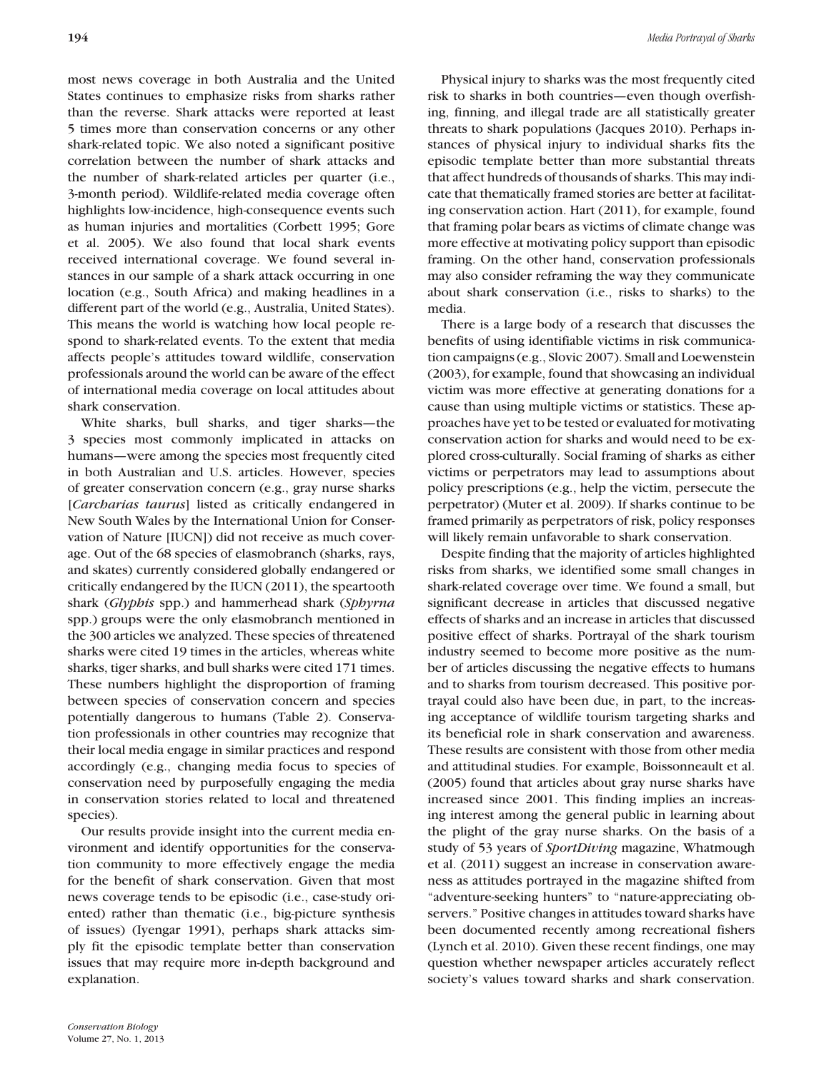most news coverage in both Australia and the United States continues to emphasize risks from sharks rather than the reverse. Shark attacks were reported at least 5 times more than conservation concerns or any other shark-related topic. We also noted a significant positive correlation between the number of shark attacks and the number of shark-related articles per quarter (i.e., 3-month period). Wildlife-related media coverage often highlights low-incidence, high-consequence events such as human injuries and mortalities (Corbett 1995; Gore et al. 2005). We also found that local shark events received international coverage. We found several instances in our sample of a shark attack occurring in one location (e.g., South Africa) and making headlines in a different part of the world (e.g., Australia, United States). This means the world is watching how local people respond to shark-related events. To the extent that media affects people's attitudes toward wildlife, conservation professionals around the world can be aware of the effect of international media coverage on local attitudes about shark conservation.

White sharks, bull sharks, and tiger sharks—the 3 species most commonly implicated in attacks on humans—were among the species most frequently cited in both Australian and U.S. articles. However, species of greater conservation concern (e.g., gray nurse sharks [*Carcharias taurus*] listed as critically endangered in New South Wales by the International Union for Conservation of Nature [IUCN]) did not receive as much coverage. Out of the 68 species of elasmobranch (sharks, rays, and skates) currently considered globally endangered or critically endangered by the IUCN (2011), the speartooth shark (*Glyphis* spp.) and hammerhead shark (*Sphyrna* spp.) groups were the only elasmobranch mentioned in the 300 articles we analyzed. These species of threatened sharks were cited 19 times in the articles, whereas white sharks, tiger sharks, and bull sharks were cited 171 times. These numbers highlight the disproportion of framing between species of conservation concern and species potentially dangerous to humans (Table 2). Conservation professionals in other countries may recognize that their local media engage in similar practices and respond accordingly (e.g., changing media focus to species of conservation need by purposefully engaging the media in conservation stories related to local and threatened species).

Our results provide insight into the current media environment and identify opportunities for the conservation community to more effectively engage the media for the benefit of shark conservation. Given that most news coverage tends to be episodic (i.e., case-study oriented) rather than thematic (i.e., big-picture synthesis of issues) (Iyengar 1991), perhaps shark attacks simply fit the episodic template better than conservation issues that may require more in-depth background and explanation.

Physical injury to sharks was the most frequently cited risk to sharks in both countries—even though overfishing, finning, and illegal trade are all statistically greater threats to shark populations (Jacques 2010). Perhaps instances of physical injury to individual sharks fits the episodic template better than more substantial threats that affect hundreds of thousands of sharks. This may indicate that thematically framed stories are better at facilitating conservation action. Hart (2011), for example, found that framing polar bears as victims of climate change was more effective at motivating policy support than episodic framing. On the other hand, conservation professionals may also consider reframing the way they communicate about shark conservation (i.e., risks to sharks) to the media.

There is a large body of a research that discusses the benefits of using identifiable victims in risk communication campaigns (e.g., Slovic 2007). Small and Loewenstein (2003), for example, found that showcasing an individual victim was more effective at generating donations for a cause than using multiple victims or statistics. These approaches have yet to be tested or evaluated for motivating conservation action for sharks and would need to be explored cross-culturally. Social framing of sharks as either victims or perpetrators may lead to assumptions about policy prescriptions (e.g., help the victim, persecute the perpetrator) (Muter et al. 2009). If sharks continue to be framed primarily as perpetrators of risk, policy responses will likely remain unfavorable to shark conservation.

Despite finding that the majority of articles highlighted risks from sharks, we identified some small changes in shark-related coverage over time. We found a small, but significant decrease in articles that discussed negative effects of sharks and an increase in articles that discussed positive effect of sharks. Portrayal of the shark tourism industry seemed to become more positive as the number of articles discussing the negative effects to humans and to sharks from tourism decreased. This positive portrayal could also have been due, in part, to the increasing acceptance of wildlife tourism targeting sharks and its beneficial role in shark conservation and awareness. These results are consistent with those from other media and attitudinal studies. For example, Boissonneault et al. (2005) found that articles about gray nurse sharks have increased since 2001. This finding implies an increasing interest among the general public in learning about the plight of the gray nurse sharks. On the basis of a study of 53 years of *SportDiving* magazine, Whatmough et al. (2011) suggest an increase in conservation awareness as attitudes portrayed in the magazine shifted from "adventure-seeking hunters" to "nature-appreciating observers." Positive changes in attitudes toward sharks have been documented recently among recreational fishers (Lynch et al. 2010). Given these recent findings, one may question whether newspaper articles accurately reflect society's values toward sharks and shark conservation.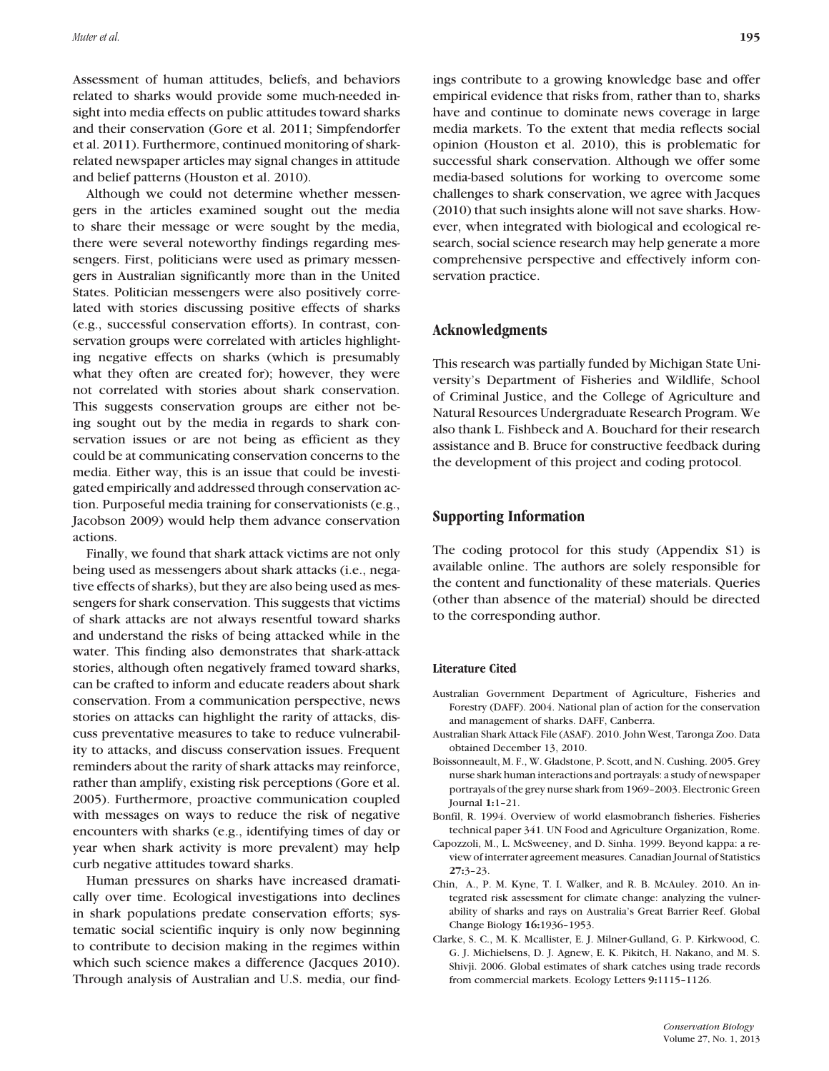Assessment of human attitudes, beliefs, and behaviors related to sharks would provide some much-needed insight into media effects on public attitudes toward sharks and their conservation (Gore et al. 2011; Simpfendorfer et al. 2011). Furthermore, continued monitoring of sharkrelated newspaper articles may signal changes in attitude and belief patterns (Houston et al. 2010).

Although we could not determine whether messengers in the articles examined sought out the media to share their message or were sought by the media, there were several noteworthy findings regarding messengers. First, politicians were used as primary messengers in Australian significantly more than in the United States. Politician messengers were also positively correlated with stories discussing positive effects of sharks (e.g., successful conservation efforts). In contrast, conservation groups were correlated with articles highlighting negative effects on sharks (which is presumably what they often are created for); however, they were not correlated with stories about shark conservation. This suggests conservation groups are either not being sought out by the media in regards to shark conservation issues or are not being as efficient as they could be at communicating conservation concerns to the media. Either way, this is an issue that could be investigated empirically and addressed through conservation action. Purposeful media training for conservationists (e.g., Jacobson 2009) would help them advance conservation actions.

Finally, we found that shark attack victims are not only being used as messengers about shark attacks (i.e., negative effects of sharks), but they are also being used as messengers for shark conservation. This suggests that victims of shark attacks are not always resentful toward sharks and understand the risks of being attacked while in the water. This finding also demonstrates that shark-attack stories, although often negatively framed toward sharks, can be crafted to inform and educate readers about shark conservation. From a communication perspective, news stories on attacks can highlight the rarity of attacks, discuss preventative measures to take to reduce vulnerability to attacks, and discuss conservation issues. Frequent reminders about the rarity of shark attacks may reinforce, rather than amplify, existing risk perceptions (Gore et al. 2005). Furthermore, proactive communication coupled with messages on ways to reduce the risk of negative encounters with sharks (e.g., identifying times of day or year when shark activity is more prevalent) may help curb negative attitudes toward sharks.

Human pressures on sharks have increased dramatically over time. Ecological investigations into declines in shark populations predate conservation efforts; systematic social scientific inquiry is only now beginning to contribute to decision making in the regimes within which such science makes a difference (Jacques 2010). Through analysis of Australian and U.S. media, our find-

ings contribute to a growing knowledge base and offer empirical evidence that risks from, rather than to, sharks have and continue to dominate news coverage in large media markets. To the extent that media reflects social opinion (Houston et al. 2010), this is problematic for successful shark conservation. Although we offer some media-based solutions for working to overcome some challenges to shark conservation, we agree with Jacques (2010) that such insights alone will not save sharks. However, when integrated with biological and ecological research, social science research may help generate a more comprehensive perspective and effectively inform conservation practice.

# **Acknowledgments**

This research was partially funded by Michigan State University's Department of Fisheries and Wildlife, School of Criminal Justice, and the College of Agriculture and Natural Resources Undergraduate Research Program. We also thank L. Fishbeck and A. Bouchard for their research assistance and B. Bruce for constructive feedback during the development of this project and coding protocol.

# **Supporting Information**

The coding protocol for this study (Appendix S1) is available online. The authors are solely responsible for the content and functionality of these materials. Queries (other than absence of the material) should be directed to the corresponding author.

#### **Literature Cited**

- Australian Government Department of Agriculture, Fisheries and Forestry (DAFF). 2004. National plan of action for the conservation and management of sharks. DAFF, Canberra.
- Australian Shark Attack File (ASAF). 2010. John West, Taronga Zoo. Data obtained December 13, 2010.
- Boissonneault, M. F., W. Gladstone, P. Scott, and N. Cushing. 2005. Grey nurse shark human interactions and portrayals: a study of newspaper portrayals of the grey nurse shark from 1969–2003. Electronic Green Journal **1:**1–21.
- Bonfil, R. 1994. Overview of world elasmobranch fisheries. Fisheries technical paper 341. UN Food and Agriculture Organization, Rome.
- Capozzoli, M., L. McSweeney, and D. Sinha. 1999. Beyond kappa: a review of interrater agreement measures. Canadian Journal of Statistics **27:**3–23.
- Chin, A., P. M. Kyne, T. I. Walker, and R. B. McAuley. 2010. An integrated risk assessment for climate change: analyzing the vulnerability of sharks and rays on Australia's Great Barrier Reef. Global Change Biology **16:**1936–1953.
- Clarke, S. C., M. K. Mcallister, E. J. Milner-Gulland, G. P. Kirkwood, C. G. J. Michielsens, D. J. Agnew, E. K. Pikitch, H. Nakano, and M. S. Shivji. 2006. Global estimates of shark catches using trade records from commercial markets. Ecology Letters **9:**1115–1126.